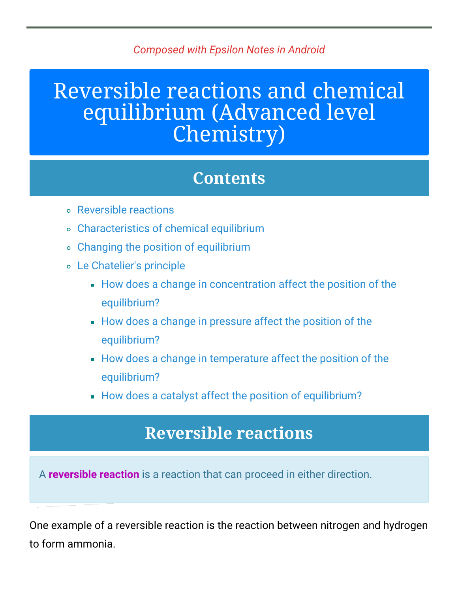#### *Composed with Epsilon Notes in Android*

# Reversible reactions and chemical equilibrium (Advanced level Chemistry)

### **Contents**

- [Reversible](#page-0-0) reactions
- [Characteristics](#page-1-0) of chemical equilibrium
- Changing the position of [equilibrium](#page-2-0)
- Le [Chatelier's](#page-3-0) principle
	- How does a change in [concentration](#page-3-1) affect the position of the equilibrium?
	- How does a change in pressure affect the position of the [equilibrium?](#page-5-0)
	- How does a change in [temperature](#page-6-0) affect the position of the equilibrium?
	- How does a catalyst affect the position of [equilibrium?](#page-7-0)

### **Reversible reactions**

<span id="page-0-0"></span>A **reversible reaction** is a reaction that can proceed in either direction.

One example of a reversible reaction is the reaction between nitrogen and hydrogen to form ammonia.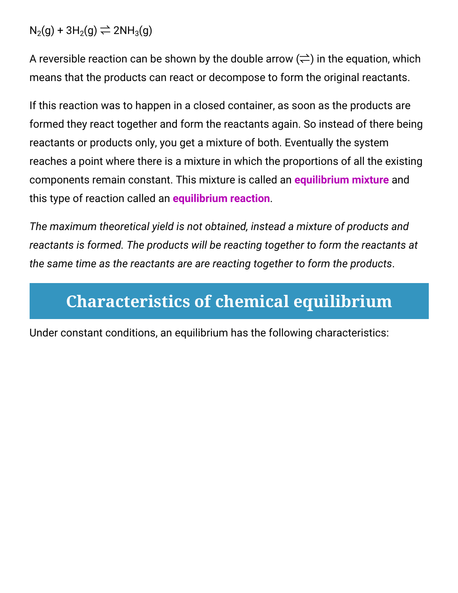$N_2(g)$  + 3H<sub>2</sub>(g)  $\rightleftharpoons$  2NH<sub>3</sub>(g)

A reversible reaction can be shown by the double arrow  $(\rightleftarrows)$  in the equation, which means that the products can react or decompose to form the original reactants.

If this reaction was to happen in a closed container, as soon as the products are formed they react together and form the reactants again. So instead of there being reactants or products only, you get a mixture of both. Eventually the system reaches a point where there is a mixture in which the proportions of all the existing components remain constant. This mixture is called an **equilibrium mixture** and this type of reaction called an **equilibrium reaction**.

*The maximum theoretical yield is not obtained, instead a mixture of products and reactants is formed. The products will be reacting together to form the reactants at the same time as the reactants are are reacting together to form the products*.

## <span id="page-1-0"></span>**Characteristics of chemical equilibrium**

Under constant conditions, an equilibrium has the following characteristics: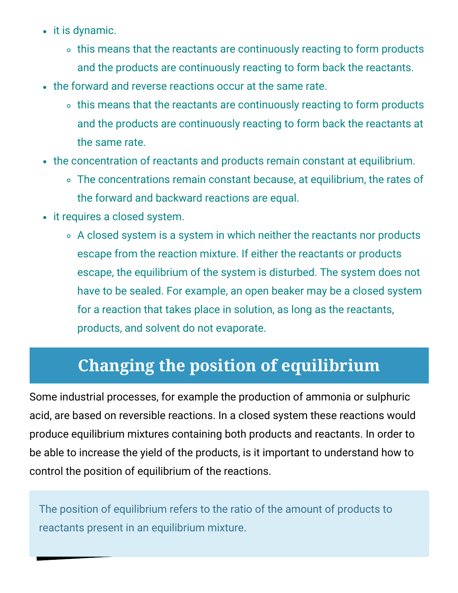- it is dynamic.
	- this means that the reactants are continuously reacting to form products and the products are continuously reacting to form back the reactants.
- the forward and reverse reactions occur at the same rate.
	- o this means that the reactants are continuously reacting to form products and the products are continuously reacting to form back the reactants at the same rate.
- the concentration of reactants and products remain constant at equilibrium.
	- The concentrations remain constant because, at equilibrium, the rates of the forward and backward reactions are equal.
- it requires a closed system.
	- A closed system is a system in which neither the reactants nor products escape from the reaction mixture. If either the reactants or products escape, the equilibrium of the system is disturbed. The system does not have to be sealed. For example, an open beaker may be a closed system for a reaction that takes place in solution, as long as the reactants, products, and solvent do not evaporate.

### **Changing the position of equilibrium**

<span id="page-2-0"></span>Some industrial processes, for example the production of ammonia or sulphuric acid, are based on reversible reactions. In a closed system these reactions would produce equilibrium mixtures containing both products and reactants. In order to be able to increase the yield of the products, is it important to understand how to control the position of equilibrium of the reactions.

The position of equilibrium refers to the ratio of the amount of products to reactants present in an equilibrium mixture.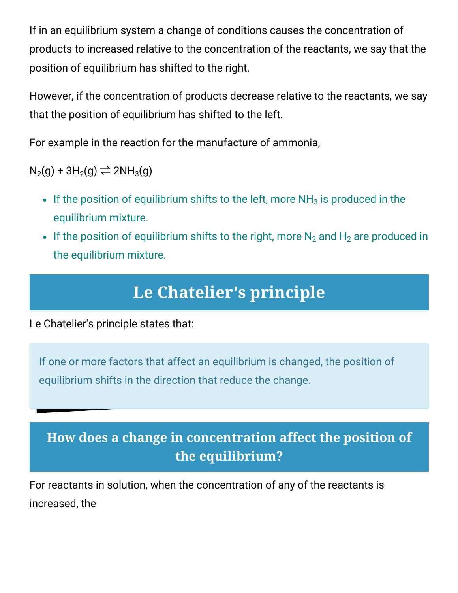If in an equilibrium system a change of conditions causes the concentration of products to increased relative to the concentration of the reactants, we say that the position of equilibrium has shifted to the right.

However, if the concentration of products decrease relative to the reactants, we say that the position of equilibrium has shifted to the left.

For example in the reaction for the manufacture of ammonia,

 $N_2(q) + 3H_2(q) \rightleftarrows 2NH_3(q)$ 

- If the position of equilibrium shifts to the left, more  $NH<sub>3</sub>$  is produced in the equilibrium mixture.
- If the position of equilibrium shifts to the right, more  $N_2$  and  $H_2$  are produced in the equilibrium mixture.

### **Le Chatelier's principle**

<span id="page-3-0"></span>Le Chatelier's principle states that:

If one or more factors that affect an equilibrium is changed, the position of equilibrium shifts in the direction that reduce the change.

### <span id="page-3-1"></span>**How does a change in concentration affect the position of the equilibrium?**

For reactants in solution, when the concentration of any of the reactants is increased, the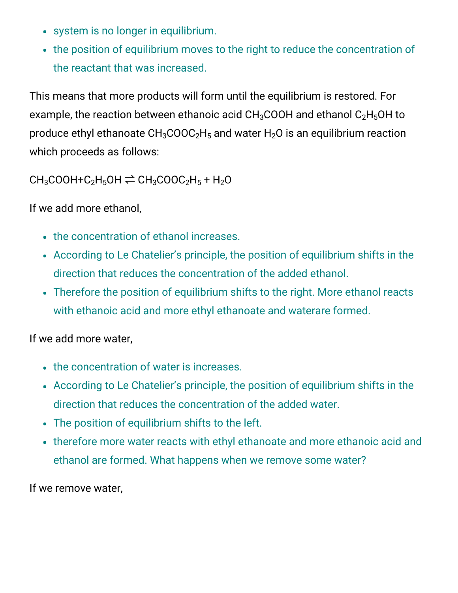- system is no longer in equilibrium.
- the position of equilibrium moves to the right to reduce the concentration of the reactant that was increased.

This means that more products will form until the equilibrium is restored. For example, the reaction between ethanoic acid  $CH<sub>3</sub>COOH$  and ethanol  $C<sub>2</sub>H<sub>5</sub>OH$  to produce ethyl ethanoate  $CH_3COOC<sub>2</sub>H<sub>5</sub>$  and water H<sub>2</sub>O is an equilibrium reaction which proceeds as follows:

 $CH_3COOH + C_2H_5OH \rightleftharpoons CH_3COOC_2H_5 + H_2O$ 

If we add more ethanol,

- the concentration of ethanol increases.
- According to Le Chatelier's principle, the position of equilibrium shifts in the direction that reduces the concentration of the added ethanol.
- Therefore the position of equilibrium shifts to the right. More ethanol reacts with ethanoic acid and more ethyl ethanoate and waterare formed.

If we add more water,

- the concentration of water is increases.
- According to Le Chatelier's principle, the position of equilibrium shifts in the direction that reduces the concentration of the added water.
- The position of equilibrium shifts to the left.
- therefore more water reacts with ethyl ethanoate and more ethanoic acid and ethanol are formed. What happens when we remove some water?

If we remove water,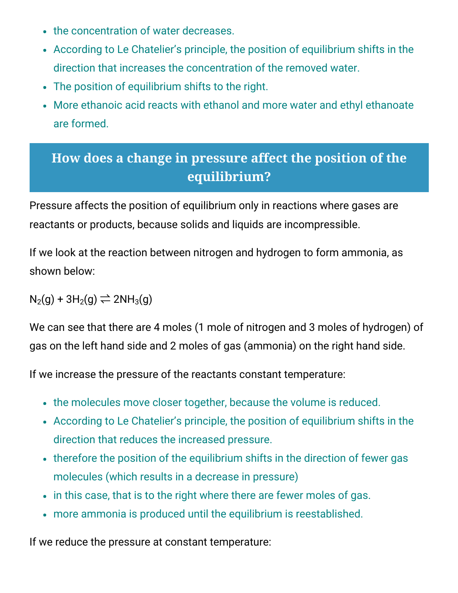- the concentration of water decreases.
- According to Le Chatelier's principle, the position of equilibrium shifts in the direction that increases the concentration of the removed water.
- The position of equilibrium shifts to the right.
- More ethanoic acid reacts with ethanol and more water and ethyl ethanoate are formed.

### <span id="page-5-0"></span>**How does a change in pressure affect the position of the equilibrium?**

Pressure affects the position of equilibrium only in reactions where gases are reactants or products, because solids and liquids are incompressible.

If we look at the reaction between nitrogen and hydrogen to form ammonia, as shown below:

 $N_2(g) + 3H_2(g) \rightleftarrows 2NH_3(g)$ 

We can see that there are 4 moles (1 mole of nitrogen and 3 moles of hydrogen) of gas on the left hand side and 2 moles of gas (ammonia) on the right hand side.

If we increase the pressure of the reactants constant temperature:

- the molecules move closer together, because the volume is reduced.
- According to Le Chatelier's principle, the position of equilibrium shifts in the direction that reduces the increased pressure.
- therefore the position of the equilibrium shifts in the direction of fewer gas molecules (which results in a decrease in pressure)
- in this case, that is to the right where there are fewer moles of gas.
- more ammonia is produced until the equilibrium is reestablished.

If we reduce the pressure at constant temperature: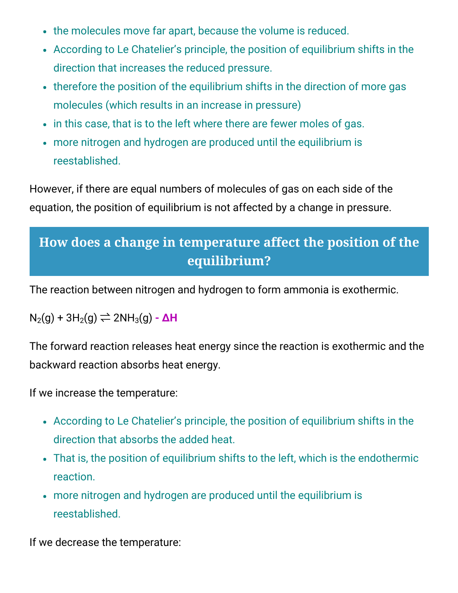- the molecules move far apart, because the volume is reduced.
- According to Le Chatelier's principle, the position of equilibrium shifts in the direction that increases the reduced pressure.
- therefore the position of the equilibrium shifts in the direction of more gas molecules (which results in an increase in pressure)
- in this case, that is to the left where there are fewer moles of gas.
- more nitrogen and hydrogen are produced until the equilibrium is reestablished.

However, if there are equal numbers of molecules of gas on each side of the equation, the position of equilibrium is not affected by a change in pressure.

### <span id="page-6-0"></span>**How does a change in temperature affect the position of the equilibrium?**

The reaction between nitrogen and hydrogen to form ammonia is exothermic.

 $N_2(g)$  + 3H<sub>2</sub>(g)  $\rightleftharpoons$  2NH<sub>3</sub>(g) -  $\Delta H$ 

The forward reaction releases heat energy since the reaction is exothermic and the backward reaction absorbs heat energy.

If we increase the temperature:

- According to Le Chatelier's principle, the position of equilibrium shifts in the direction that absorbs the added heat.
- That is, the position of equilibrium shifts to the left, which is the endothermic reaction.
- more nitrogen and hydrogen are produced until the equilibrium is reestablished.

If we decrease the temperature: